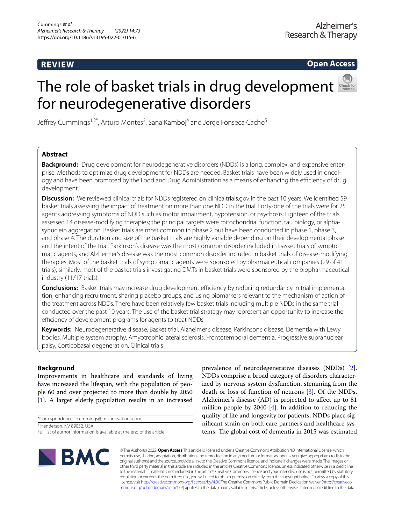## **REVIEW**

**Open Access**

# The role of basket trials in drug development for neurodegenerative disorders



Jeffrey Cummings<sup>1,2\*</sup>, Arturo Montes<sup>3</sup>, Sana Kamboj<sup>4</sup> and Jorge Fonseca Cacho<sup>5</sup>

## **Abstract**

**Background:** Drug development for neurodegenerative disorders (NDDs) is a long, complex, and expensive enterprise. Methods to optimize drug development for NDDs are needed. Basket trials have been widely used in oncology and have been promoted by the Food and Drug Administration as a means of enhancing the efficiency of drug development.

**Discussion:** We reviewed clinical trials for NDDs registered on clinicaltrials.gov in the past 10 years. We identified 59 basket trials assessing the impact of treatment on more than one NDD in the trial. Forty-one of the trials were for 25 agents addressing symptoms of NDD such as motor impairment, hypotension, or psychosis. Eighteen of the trials assessed 14 disease-modifying therapies; the principal targets were mitochondrial function, tau biology, or alphasynuclein aggregation. Basket trials are most common in phase 2 but have been conducted in phase 1, phase 3, and phase 4. The duration and size of the basket trials are highly variable depending on their developmental phase and the intent of the trial. Parkinson's disease was the most common disorder included in basket trials of symptomatic agents, and Alzheimer's disease was the most common disorder included in basket trials of disease-modifying therapies. Most of the basket trials of symptomatic agents were sponsored by pharmaceutical companies (29 of 41 trials); similarly, most of the basket trials investigating DMTs in basket trials were sponsored by the biopharmaceutical industry (11/17 trials).

**Conclusions:** Basket trials may increase drug development efficiency by reducing redundancy in trial implementation, enhancing recruitment, sharing placebo groups, and using biomarkers relevant to the mechanism of action of the treatment across NDDs. There have been relatively few basket trials including multiple NDDs in the same trial conducted over the past 10 years. The use of the basket trial strategy may represent an opportunity to increase the efficiency of development programs for agents to treat NDDs.

**Keywords:** Neurodegenerative disease, Basket trial, Alzheimer's disease, Parkinson's disease, Dementia with Lewy bodies, Multiple system atrophy, Amyotrophic lateral sclerosis, Frontotemporal dementia, Progressive supranuclear palsy, Corticobasal degeneration, Clinical trials

## **Background**

Improvements in healthcare and standards of living have increased the lifespan, with the population of people 60 and over projected to more than double by 2050 [[1\]](#page-7-0). A larger elderly population results in an increased

\*Correspondence: jcummings@cnsinnovations.com

2 Henderson, NV 89052, USA

prevalence of neurodegenerative diseases (NDDs) [\[2](#page-7-1)]. NDDs comprise a broad category of disorders characterized by nervous system dysfunction, stemming from the death or loss of function of neurons [\[3](#page-7-2)]. Of the NDDs, Alzheimer's disease (AD) is projected to afect up to 81 million people by 2040 [[4\]](#page-7-3). In addition to reducing the quality of life and longevity for patients, NDDs place signifcant strain on both care partners and healthcare systems. The global cost of dementia in 2015 was estimated



© The Author(s) 2022. **Open Access** This article is licensed under a Creative Commons Attribution 4.0 International License, which permits use, sharing, adaptation, distribution and reproduction in any medium or format, as long as you give appropriate credit to the original author(s) and the source, provide a link to the Creative Commons licence, and indicate if changes were made. The images or other third party material in this article are included in the article's Creative Commons licence, unless indicated otherwise in a credit line to the material. If material is not included in the article's Creative Commons licence and your intended use is not permitted by statutory regulation or exceeds the permitted use, you will need to obtain permission directly from the copyright holder. To view a copy of this licence, visit [http://creativecommons.org/licenses/by/4.0/.](http://creativecommons.org/licenses/by/4.0/) The Creative Commons Public Domain Dedication waiver ([http://creativeco](http://creativecommons.org/publicdomain/zero/1.0/) [mmons.org/publicdomain/zero/1.0/](http://creativecommons.org/publicdomain/zero/1.0/)) applies to the data made available in this article, unless otherwise stated in a credit line to the data.

Full list of author information is available at the end of the article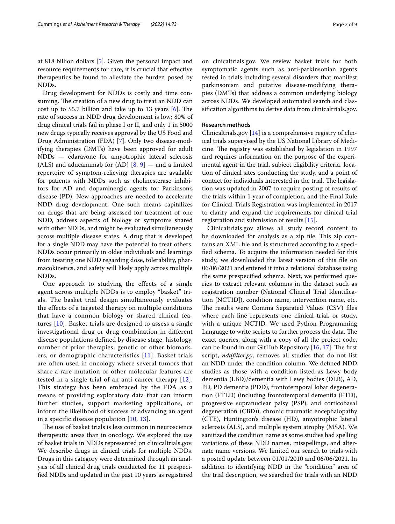at 818 billion dollars [[5](#page-7-4)]. Given the personal impact and resource requirements for care, it is crucial that efective therapeutics be found to alleviate the burden posed by NDDs.

Drug development for NDDs is costly and time consuming. The creation of a new drug to treat an NDD can cost up to \$5.7 billion and take up to 13 years  $[6]$  $[6]$ . The rate of success in NDD drug development is low; 80% of drug clinical trials fail in phase I or II, and only 1 in 5000 new drugs typically receives approval by the US Food and Drug Administration (FDA) [\[7](#page-7-6)]. Only two disease-modifying therapies (DMTs) have been approved for adult NDDs — edaravone for amyotrophic lateral sclerosis (ALS) and aducanumab for  $(AD)$   $[8, 9]$  $[8, 9]$  $[8, 9]$  $[8, 9]$  $[8, 9]$  — and a limited repertoire of symptom-relieving therapies are available for patients with NDDs such as cholinesterase inhibitors for AD and dopaminergic agents for Parkinson's disease (PD). New approaches are needed to accelerate NDD drug development. One such means capitalizes on drugs that are being assessed for treatment of one NDD, address aspects of biology or symptoms shared with other NDDs, and might be evaluated simultaneously across multiple disease states. A drug that is developed for a single NDD may have the potential to treat others. NDDs occur primarily in older individuals and learnings from treating one NDD regarding dose, tolerability, pharmacokinetics, and safety will likely apply across multiple NDDs.

One approach to studying the effects of a single agent across multiple NDDs is to employ "basket" trials. The basket trial design simultaneously evaluates the effects of a targeted therapy on multiple conditions that have a common biology or shared clinical features [[10\]](#page-7-9). Basket trials are designed to assess a single investigational drug or drug combination in different disease populations defined by disease stage, histology, number of prior therapies, genetic or other biomarkers, or demographic characteristics [\[11\]](#page-7-10). Basket trials are often used in oncology where several tumors that share a rare mutation or other molecular features are tested in a single trial of an anti-cancer therapy [[12\]](#page-7-11). This strategy has been embraced by the FDA as a means of providing exploratory data that can inform further studies, support marketing applications, or inform the likelihood of success of advancing an agent in a specific disease population [\[10,](#page-7-9) [13\]](#page-7-12).

The use of basket trials is less common in neuroscience therapeutic areas than in oncology. We explored the use of basket trials in NDDs represented on clinicaltrials.gov. We describe drugs in clinical trials for multiple NDDs. Drugs in this category were determined through an analysis of all clinical drug trials conducted for 11 prespecifed NDDs and updated in the past 10 years as registered on clnicaltrials.gov. We review basket trials for both symptomatic agents such as anti-parkinsonian agents tested in trials including several disorders that manifest parkinsonism and putative disease-modifying therapies (DMTs) that address a common underlying biology across NDDs. We developed automated search and classifcation algorithms to derive data from clinicaltrials.gov.

## **Research methods**

Clinicaltrials.gov [[14](#page-7-13)] is a comprehensive registry of clinical trials supervised by the US National Library of Medicine. The registry was established by legislation in 1997 and requires information on the purpose of the experimental agent in the trial, subject eligibility criteria, location of clinical sites conducting the study, and a point of contact for individuals interested in the trial. The legislation was updated in 2007 to require posting of results of the trials within 1 year of completion, and the Final Rule for Clinical Trials Registration was implemented in 2017 to clarify and expand the requirements for clinical trial registration and submission of results [\[15\]](#page-7-14).

Clinicaltrials.gov allows all study record content to be downloaded for analysis as a zip file. This zip contains an XML fle and is structured according to a specifed schema. To acquire the information needed for this study, we downloaded the latest version of this fle on 06/06/2021 and entered it into a relational database using the same prespecifed schema. Next, we performed queries to extract relevant columns in the dataset such as registration number (National Clinical Trial Identifcation [NCTID]), condition name, intervention name, etc. The results were Comma Separated Values (CSV) files where each line represents one clinical trial, or study, with a unique NCTID. We used Python Programming Language to write scripts to further process the data. The exact queries, along with a copy of all the project code, can be found in our GitHub Repository  $[16, 17]$  $[16, 17]$  $[16, 17]$  $[16, 17]$  $[16, 17]$ . The first script, *nddflter.py*, removes all studies that do not list an NDD under the condition column. We defned NDD studies as those with a condition listed as Lewy body dementia (LBD)/dementia with Lewy bodies (DLB), AD, PD, PD dementia (PDD), frontotemporal lobar degeneration (FTLD) (including frontotemporal dementia (FTD), progressive supranuclear palsy (PSP), and corticobasal degeneration (CBD)), chronic traumatic encephalopathy (CTE), Huntington's disease (HD), amyotrophic lateral sclerosis (ALS), and multiple system atrophy (MSA). We sanitized the condition name as some studies had spelling variations of these NDD names, misspellings, and alternate name versions. We limited our search to trials with a posted update between 01/01/2010 and 06/06/2021. In addition to identifying NDD in the "condition" area of the trial description, we searched for trials with an NDD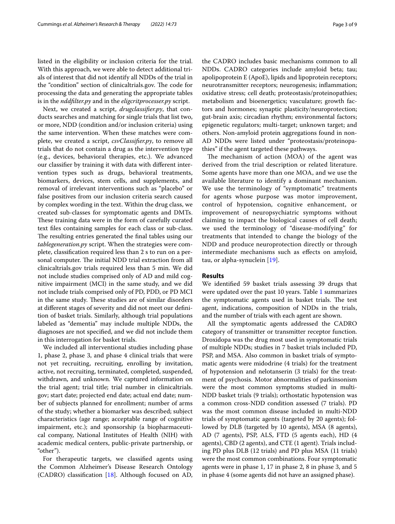listed in the eligibility or inclusion criteria for the trial. With this approach, we were able to detect additional trials of interest that did not identify all NDDs of the trial in the "condition" section of clinicaltrials.gov. The code for processing the data and generating the appropriate tables is in the *nddflter.py* and in the *eligcritprocesser.py* script.

Next, we created a script, *drugclassifer.py*, that conducts searches and matching for single trials that list two, or more, NDD (condition and/or inclusion criteria) using the same intervention. When these matches were complete, we created a script, *csvClassifer.py*, to remove all trials that do not contain a drug as the intervention type (e.g., devices, behavioral therapies, etc.). We advanced our classifer by training it with data with diferent intervention types such as drugs, behavioral treatments, biomarkers, devices, stem cells, and supplements, and removal of irrelevant interventions such as "placebo" or false positives from our inclusion criteria search caused by complex wording in the text. Within the drug class, we created sub-classes for symptomatic agents and DMTs. These training data were in the form of carefully curated text fles containing samples for each class or sub-class. The resulting entries generated the final tables using our *tablegeneration.py* script. When the strategies were complete, classifcation required less than 2 s to run on a personal computer. The initial NDD trial extraction from all clinicaltrials.gov trials required less than 5 min. We did not include studies comprised only of AD and mild cognitive impairment (MCI) in the same study, and we did not include trials comprised only of PD, PDD, or PD MCI in the same study. These studies are of similar disorders at diferent stages of severity and did not meet our defnition of basket trials. Similarly, although trial populations labeled as "dementia" may include multiple NDDs, the diagnoses are not specifed, and we did not include them in this interrogation for basket trials.

We included all interventional studies including phase 1, phase 2, phase 3, and phase 4 clinical trials that were not yet recruiting, recruiting, enrolling by invitation, active, not recruiting, terminated, completed, suspended, withdrawn, and unknown. We captured information on the trial agent; trial title; trial number in clinicaltrials. gov; start date; projected end date; actual end date; number of subjects planned for enrollment; number of arms of the study; whether a biomarker was described; subject characteristics (age range; acceptable range of cognitive impairment, etc.); and sponsorship (a biopharmaceutical company, National Institutes of Health (NIH) with academic medical centers, public-private partnership, or "other").

For therapeutic targets, we classifed agents using the Common Alzheimer's Disease Research Ontology (CADRO) classifcation [[18\]](#page-7-17). Although focused on AD,

the CADRO includes basic mechanisms common to all NDDs. CADRO categories include amyloid beta; tau; apolipoprotein E (ApoE), lipids and lipoprotein receptors; neurotransmitter receptors; neurogenesis; infammation; oxidative stress; cell death; proteostasis/proteinopathies; metabolism and bioenergetics; vasculature; growth factors and hormones; synaptic plasticity/neuroprotection; gut-brain axis; circadian rhythm; environmental factors; epigenetic regulators; multi-target; unknown target; and others. Non-amyloid protein aggregations found in non-AD NDDs were listed under "proteostasis/proteinopathies" if the agent targeted these pathways.

The mechanism of action (MOA) of the agent was derived from the trial description or related literature. Some agents have more than one MOA, and we use the available literature to identify a dominant mechanism. We use the terminology of "symptomatic" treatments for agents whose purpose was motor improvement, control of hypotension, cognitive enhancement, or improvement of neuropsychiatric symptoms without claiming to impact the biological causes of cell death; we used the terminology of "disease-modifying" for treatments that intended to change the biology of the NDD and produce neuroprotection directly or through intermediate mechanisms such as efects on amyloid, tau, or alpha-synuclein [[19\]](#page-7-18).

## **Results**

We identifed 59 basket trials assessing 39 drugs that were updated over the past 10 years. Table [1](#page-3-0) summarizes the symptomatic agents used in basket trials. The test agent, indications, composition of NDDs in the trials, and the number of trials with each agent are shown.

All the symptomatic agents addressed the CADRO category of transmitter or transmitter receptor function. Droxidopa was the drug most used in symptomatic trials of multiple NDDs; studies in 7 basket trials included PD, PSP, and MSA. Also common in basket trials of symptomatic agents were midodrine (4 trials) for the treatment of hypotension and nelotanserin (3 trials) for the treatment of psychosis. Motor abnormalities of parkinsonism were the most common symptoms studied in multi-NDD basket trials (9 trials); orthostatic hypotension was a common cross-NDD condition assessed (7 trials). PD was the most common disease included in multi-NDD trials of symptomatic agents (targeted by 20 agents); followed by DLB (targeted by 10 agents), MSA (8 agents), AD (7 agents), PSP, ALS, FTD (5 agents each), HD (4 agents), CBD (2 agents), and CTE (1 agent). Trials including PD plus DLB (12 trials) and PD plus MSA (11 trials) were the most common combinations. Four symptomatic agents were in phase 1, 17 in phase 2, 8 in phase 3, and 5 in phase 4 (some agents did not have an assigned phase).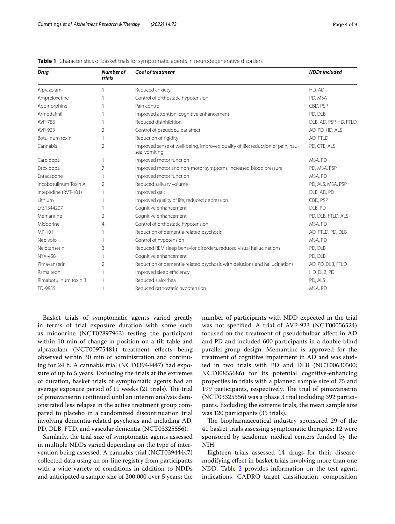| <b>Drug</b>           | Number of<br>trials | <b>Goal of treatment</b>                                                                         | <b>NDDs included</b>   |
|-----------------------|---------------------|--------------------------------------------------------------------------------------------------|------------------------|
| Alprazolam            |                     | Reduced anxiety                                                                                  | HD, AD                 |
| Ampreloxetine         |                     | Control of orthostatic hypotension                                                               | PD, MSA                |
| Apomorphine           |                     | Pain control                                                                                     | CBD, PSP               |
| Armodafinil           |                     | Improved attention, cognitive enhancement                                                        | PD, DLB                |
| AVP-786               |                     | Reduced disinhibition                                                                            | DLB, AD, PSP, HD, FTLD |
| AVP-923               | $\overline{2}$      | Control of pseudobulbar affect                                                                   | AD, PD, HD, ALS        |
| Botulinum toxin       |                     | Reduction of rigidity                                                                            | AD, FTLD               |
| Cannabis              | $\overline{2}$      | Improved sense of well-being, improved quality of life; reduction of pain, nau-<br>sea, vomiting | PD, CTE, ALS           |
| Carbidopa             | $\mathbf{1}$        | Improved motor function                                                                          | MSA, PD                |
| Droxidopa             | 7                   | Improved motor and non-motor symptoms, increased blood pressure                                  | PD, MSA, PSP           |
| Entacapone            |                     | Improved motor function                                                                          | MSA, PD                |
| Incobotulinum Toxin A | 2                   | Reduced salivary volume                                                                          | PD, ALS, MSA, PSP      |
| Intepirdine (RVT-101) |                     | Improved gait                                                                                    | DLB, AD, PD            |
| Lithium               |                     | Improved quality of life, reduced depression                                                     | CBD, PSP               |
| LY31544207            |                     | Cognitive enhancement                                                                            | DLB, PD                |
| Memantine             | 2                   | Cognitive enhancement                                                                            | PD, DLB, FTLD, ALS     |
| Midodrine             | $\overline{4}$      | Control of orthostatic hypotension                                                               | MSA, PD                |
| MP-101                |                     | Reduction of dementia-related psychosis                                                          | AD, FTLD, PD, DLB      |
| Nebivolol             |                     | Control of hypotension                                                                           | MSA, PD                |
| Nelotanserin          | 3                   | Reduced REM sleep behavior disorders, reduced visual hallucinations                              | PD, DLB                |
| NYX-458               |                     | Cognitive enhancement                                                                            | PD, DLB                |
| Pimavanserin          | 2                   | Reduction of dementia-related psychosis with delusions and hallucinations                        | AD, PD, DLB, FTLD      |
| Ramalteon             |                     | Improved sleep efficiency                                                                        | HD, DLB, PD            |
| Rimabotulinum toxin B |                     | Reduced sialorrhea                                                                               | PD, ALS                |
| TD-9855               |                     | Reduced orthostatic hypotension                                                                  | MSA, PD                |

<span id="page-3-0"></span>**Table 1** Characteristics of basket trials for symptomatic agents in neurodegenerative disorders

Basket trials of symptomatic agents varied greatly in terms of trial exposure duration with some such as midodrine (NCT02897963) testing the participant within 10 min of change in position on a tilt table and alprazolam (NCT00975481) treatment effects being observed within 30 min of administration and continuing for 24 h. A cannabis trial (NCT03944447) had exposure of up to 5 years. Excluding the trials at the extremes of duration, basket trials of symptomatic agents had an average exposure period of 11 weeks (21 trials). The trial of pimavanserin continued until an interim analysis demonstrated less relapse in the active treatment group compared to placebo in a randomized discontinuation trial involving dementia-related psychosis and including AD, PD, DLB, FTD, and vascular dementia (NCT03325556).

Similarly, the trial size of symptomatic agents assessed in multiple NDDs varied depending on the type of intervention being assessed. A cannabis trial (NCT03944447) collected data using an on-line registry from participants with a wide variety of conditions in addition to NDDs and anticipated a sample size of 200,000 over 5 years; the number of participants with NDD expected in the trial was not specifed. A trial of AVP-923 (NCT00056524) focused on the treatment of pseudobulbar afect in AD and PD and included 600 participants in a double-blind parallel-group design. Memantine is approved for the treatment of cognitive impairment in AD and was studied in two trials with PD and DLB (NCT00630500; NCT00855686) for its potential cognitive-enhancing properties in trials with a planned sample size of 75 and 199 participants, respectively. The trial of pimavanserin (NCT03325556) was a phase 3 trial including 392 participants. Excluding the extreme trials, the mean sample size was 120 participants (35 trials).

The biopharmaceutical industry sponsored 29 of the 41 basket trials assessing symptomatic therapies; 12 were sponsored by academic medical centers funded by the NIH.

Eighteen trials assessed 14 drugs for their diseasemodifying efect in basket trials involving more than one NDD. Table [2](#page-4-0) provides information on the test agent, indications, CADRO target classifcation, composition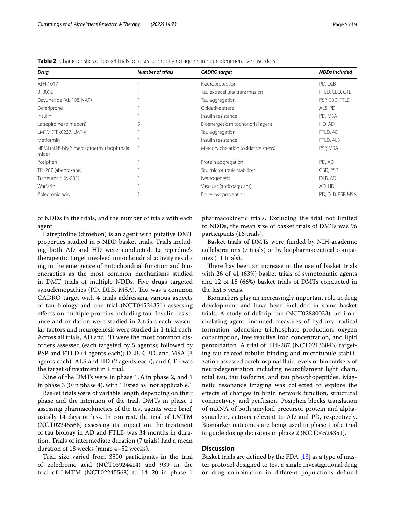| Drug                                                 | <b>Number of trials</b> | <b>CADRO</b> target                  | <b>NDDs included</b> |
|------------------------------------------------------|-------------------------|--------------------------------------|----------------------|
| ATH-1017                                             |                         | Neuroprotection                      | PD, DLB              |
| BIIB092                                              |                         | Tau extracellular transmission       | FTLD, CBD, CTE       |
| Davunetide (AL-108, NAP)                             |                         | Tau aggregation                      | PSP, CBD, FTLD       |
| Deferiprone                                          |                         | Oxidative stress                     | ALS, PD              |
| Insulin                                              |                         | Insulin resistance                   | PD, MSA              |
| Latrepirdine (dimebon)                               |                         | Bioenergetic mitochondrial agent     | HD, AD               |
| LMTM (TRx0237, LMT-X)                                |                         | Tau aggregation                      | FTLD, AD             |
| Metformin                                            |                         | Insulin resistance                   | FTLD, ALS            |
| NBMI (N,N'-bis(2-mercaptoethyl) isophthala-<br>mide) |                         | Mercury chelation (oxidative stress) | PSP, MSA             |
| Posiphen                                             |                         | Protein aggregation                  | PD, AD               |
| TPI-287 (abeotaxane)                                 |                         | Tau microtubule stabilizer           | CBD, PSP             |
| Traneurocin (N-831)                                  |                         | Neurogenesis                         | DLB, AD              |
| Warfarin                                             |                         | Vascular (anticoagulant)             | AD, HD               |
| Zoledronic acid                                      |                         | Bone loss prevention                 | PD, DLB, PSP, MSA    |

<span id="page-4-0"></span>**Table 2** Characteristics of basket trials for disease-modifying agents in neurodegenerative disorders

of NDDs in the trials, and the number of trials with each agent.

Latrepirdine (dimebon) is an agent with putative DMT properties studied in 5 NDD basket trials. Trials including both AD and HD were conducted. Latrepirdine's therapeutic target involved mitochondrial activity resulting in the emergence of mitochondrial function and bioenergetics as the most common mechanisms studied in DMT trials of multiple NDDs. Five drugs targeted synucleinopathies (PD, DLB, MSA). Tau was a common CADRO target with 4 trials addressing various aspects of tau biology and one trial (NCT04524351) assessing efects on multiple proteins including tau. Insulin resistance and oxidation were studied in 2 trials each; vascular factors and neurogenesis were studied in 1 trial each. Across all trials, AD and PD were the most common disorders assessed (each targeted by 5 agents); followed by PSP and FTLD (4 agents each); DLB, CBD, and MSA (3 agents each); ALS and HD (2 agents each); and CTE was the target of treatment in 1 trial.

Nine of the DMTs were in phase 1, 6 in phase 2, and 1 in phase 3 (0 in phase 4), with 1 listed as "not applicable."

Basket trials were of variable length depending on their phase and the intention of the trial. DMTs in phase 1 assessing pharmacokinetics of the test agents were brief, usually 14 days or less. In contrast, the trial of LMTM (NCT02245568) assessing its impact on the treatment of tau biology in AD and FTLD was 34 months in duration. Trials of intermediate duration (7 trials) had a mean duration of 18 weeks (range 4–52 weeks).

Trial size varied from 3500 participants in the trial of zoledronic acid (NCT03924414) and 939 in the trial of LMTM (NCT02245568) to 14–20 in phase 1

pharmacokinetic trials. Excluding the trial not limited to NDDs, the mean size of basket trials of DMTs was 96 participants (16 trials).

Basket trials of DMTs were funded by NIH-academic collaborations (7 trials) or by biopharmaceutical companies (11 trials).

There has been an increase in the use of basket trials with 26 of 41 (63%) basket trials of symptomatic agents and 12 of 18 (66%) basket trials of DMTs conducted in the last 5 years.

Biomarkers play an increasingly important role in drug development and have been included in some basket trials. A study of deferiprone (NCT02880033), an ironchelating agent, included measures of hydroxyl radical formation, adenosine triphosphate production, oxygen consumption, free reactive iron concentration, and lipid peroxidation. A trial of TPI-287 (NCT02133846) targeting tau-related tubulin-binding and microtubule-stabilization assessed cerebrospinal fuid levels of biomarkers of neurodegeneration including neuroflament light chain, total tau, tau isoforms, and tau phosphopeptides. Magnetic resonance imaging was collected to explore the efects of changes in brain network function, structural connectivity, and perfusion. Posiphen blocks translation of mRNA of both amyloid precursor protein and alphasynuclein, actions relevant to AD and PD, respectively. Biomarker outcomes are being used in phase 1 of a trial to guide dosing decisions in phase 2 (NCT04524351).

## **Discussion**

Basket trials are defned by the FDA [[13\]](#page-7-12) as a type of master protocol designed to test a single investigational drug or drug combination in diferent populations defned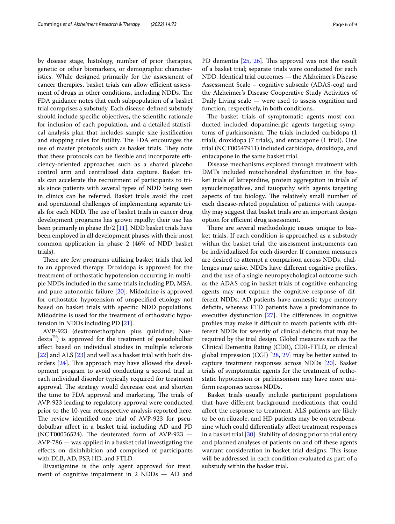by disease stage, histology, number of prior therapies, genetic or other biomarkers, or demographic characteristics. While designed primarily for the assessment of cancer therapies, basket trials can allow efficient assessment of drugs in other conditions, including NDDs. The FDA guidance notes that each subpopulation of a basket trial comprises a substudy. Each disease-defned substudy should include specifc objectives, the scientifc rationale for inclusion of each population, and a detailed statistical analysis plan that includes sample size justifcation and stopping rules for futility. The FDA encourages the use of master protocols such as basket trials. They note that these protocols can be flexible and incorporate efficiency-oriented approaches such as a shared placebo control arm and centralized data capture. Basket trials can accelerate the recruitment of participants to trials since patients with several types of NDD being seen in clinics can be referred. Basket trials avoid the cost and operational challenges of implementing separate trials for each NDD. The use of basket trials in cancer drug development programs has grown rapidly; their use has been primarily in phase 1b/2 [[11\]](#page-7-10). NDD basket trials have been employed in all development phases with their most common application in phase 2 (46% of NDD basket trials).

There are few programs utilizing basket trials that led to an approved therapy. Droxidopa is approved for the treatment of orthostatic hypotension occurring in multiple NDDs included in the same trials including PD, MSA, and pure autonomic failure [[20\]](#page-7-19). Midodrine is approved for orthostatic hypotension of unspecifed etiology not based on basket trials with specifc NDD populations. Midodrine is used for the treatment of orthostatic hypotension in NDDs including PD [[21](#page-7-20)].

AVP-923 (dextromethorphan plus quinidine; Nuedexta™) is approved for the treatment of pseudobulbar afect based on individual studies in multiple sclerosis [[22\]](#page-7-21) and ALS [\[23\]](#page-7-22) and well as a basket trial with both disorders  $[24]$  $[24]$  $[24]$ . This approach may have allowed the development program to avoid conducting a second trial in each individual disorder typically required for treatment approval. The strategy would decrease cost and shorten the time to FDA approval and marketing. The trials of AVP-923 leading to regulatory approval were conducted prior to the 10-year retrospective analysis reported here. The review identified one trial of AVP-923 for pseudobulbar afect in a basket trial including AD and PD (NCT00056524). The deuterated form of AVP-923  $-$ AVP-786 — was applied in a basket trial investigating the efects on disinhibition and comprised of participants with DLB, AD, PSP, HD, and FTLD.

Rivastigmine is the only agent approved for treatment of cognitive impairment in 2 NDDs — AD and PD dementia [\[25](#page-7-24), [26](#page-7-25)]. This approval was not the result of a basket trial; separate trials were conducted for each NDD. Identical trial outcomes — the Alzheimer's Disease Assessment Scale – cognitive subscale (ADAS-cog) and the Alzheimer's Disease Cooperative Study Activities of Daily Living scale — were used to assess cognition and function, respectively, in both conditions.

The basket trials of symptomatic agents most conducted included dopaminergic agents targeting symptoms of parkinsonism. The trials included carbidopa (1 trial), droxidopa (7 trials), and entacapone (1 trial). One trial (NCT00547911) included carbidopa, droxidopa, and entacapone in the same basket trial.

Disease mechanisms explored through treatment with DMTs included mitochondrial dysfunction in the basket trials of latrepirdine, protein aggregation in trials of synucleinopathies, and tauopathy with agents targeting aspects of tau biology. The relatively small number of each disease-related population of patients with tauopathy may suggest that basket trials are an important design option for efficient drug assessment.

There are several methodologic issues unique to basket trials. If each condition is approached as a substudy within the basket trial, the assessment instruments can be individualized for each disorder. If common measures are desired to attempt a comparison across NDDs, challenges may arise. NDDs have diferent cognitive profles, and the use of a single neuropsychological outcome such as the ADAS-cog in basket trials of cognitive-enhancing agents may not capture the cognitive response of different NDDs. AD patients have amnestic type memory deficits, whereas FTD patients have a predominance to executive dysfunction  $[27]$  $[27]$  $[27]$ . The differences in cognitive profiles may make it difficult to match patients with different NDDs for severity of clinical deficits that may be required by the trial design. Global measures such as the Clinical Dementia Rating (CDR), CDR-FTLD, or clinical global impression (CGI) [[28,](#page-8-0) [29\]](#page-8-1) may be better suited to capture treatment responses across NDDs [\[20\]](#page-7-19). Basket trials of symptomatic agents for the treatment of orthostatic hypotension or parkinsonism may have more uniform responses across NDDs.

Basket trials usually include participant populations that have diferent background medications that could afect the response to treatment. ALS patients are likely to be on riluzole, and HD patients may be on tetrabenazine which could diferentially afect treatment responses in a basket trial [\[30\]](#page-8-2). Stability of dosing prior to trial entry and planned analyses of patients on and off these agents warrant consideration in basket trial designs. This issue will be addressed in each condition evaluated as part of a substudy within the basket trial.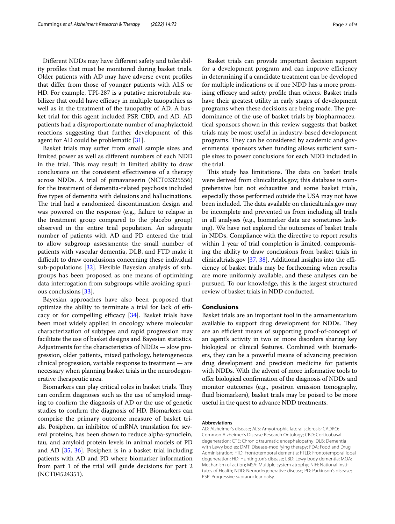Diferent NDDs may have diferent safety and tolerability profles that must be monitored during basket trials. Older patients with AD may have adverse event profles that difer from those of younger patients with ALS or HD. For example, TPI-287 is a putative microtubule stabilizer that could have efficacy in multiple tauopathies as well as in the treatment of the tauopathy of AD. A basket trial for this agent included PSP, CBD, and AD. AD patients had a disproportionate number of anaphylactoid reactions suggesting that further development of this agent for AD could be problematic [[31](#page-8-3)].

Basket trials may sufer from small sample sizes and limited power as well as diferent numbers of each NDD in the trial. This may result in limited ability to draw conclusions on the consistent efectiveness of a therapy across NDDs. A trial of pimavanserin (NCT03325556) for the treatment of dementia-related psychosis included fve types of dementia with delusions and hallucinations. The trial had a randomized discontinuation design and was powered on the response (e.g., failure to relapse in the treatment group compared to the placebo group) observed in the entire trial population. An adequate number of patients with AD and PD entered the trial to allow subgroup assessments; the small number of patients with vascular dementia, DLB, and FTD make it difficult to draw conclusions concerning these individual sub-populations [\[32](#page-8-4)]. Flexible Bayesian analysis of subgroups has been proposed as one means of optimizing data interrogation from subgroups while avoiding spurious conclusions [[33\]](#page-8-5).

Bayesian approaches have also been proposed that optimize the ability to terminate a trial for lack of efficacy or for compelling efficacy  $[34]$ . Basket trials have been most widely applied in oncology where molecular characterization of subtypes and rapid progression may facilitate the use of basket designs and Bayesian statistics. Adjustments for the characteristics of NDDs — slow progression, older patients, mixed pathology, heterogeneous clinical progression, variable response to treatment — are necessary when planning basket trials in the neurodegenerative therapeutic area.

Biomarkers can play critical roles in basket trials. They can confrm diagnoses such as the use of amyloid imaging to confrm the diagnosis of AD or the use of genetic studies to confrm the diagnosis of HD. Biomarkers can comprise the primary outcome measure of basket trials. Posiphen, an inhibitor of mRNA translation for several proteins, has been shown to reduce alpha-synuclein, tau, and amyloid protein levels in animal models of PD and AD [\[35](#page-8-7), [36](#page-8-8)]. Posiphen is in a basket trial including patients with AD and PD where biomarker information from part 1 of the trial will guide decisions for part 2 (NCT04524351).

Basket trials can provide important decision support for a development program and can improve efficiency in determining if a candidate treatment can be developed for multiple indications or if one NDD has a more promising efficacy and safety profile than others. Basket trials have their greatest utility in early stages of development programs when these decisions are being made. The predominance of the use of basket trials by biopharmaceutical sponsors shown in this review suggests that basket trials may be most useful in industry-based development programs. They can be considered by academic and governmental sponsors when funding allows sufficient sample sizes to power conclusions for each NDD included in the trial.

This study has limitations. The data on basket trials were derived from clinicaltrials.gov; this database is comprehensive but not exhaustive and some basket trials, especially those performed outside the USA may not have been included. The data available on clinicaltrials.gov may be incomplete and prevented us from including all trials in all analyses (e.g., biomarker data are sometimes lacking). We have not explored the outcomes of basket trials in NDDs. Compliance with the directive to report results within 1 year of trial completion is limited, compromising the ability to draw conclusions from basket trials in clinicaltrials.gov  $[37, 38]$  $[37, 38]$  $[37, 38]$ . Additional insights into the efficiency of basket trials may be forthcoming when results are more uniformly available, and these analyses can be pursued. To our knowledge, this is the largest structured review of basket trials in NDD conducted.

## **Conclusions**

Basket trials are an important tool in the armamentarium available to support drug development for NDDs. They are an efficient means of supporting proof-of-concept of an agent's activity in two or more disorders sharing key biological or clinical features. Combined with biomarkers, they can be a powerful means of advancing precision drug development and precision medicine for patients with NDDs. With the advent of more informative tools to ofer biological confrmation of the diagnosis of NDDs and monitor outcomes (e.g., positron emission tomography, fuid biomarkers), basket trials may be poised to be more useful in the quest to advance NDD treatments.

#### **Abbreviations**

AD: Alzheimer's disease; ALS: Amyotrophic lateral sclerosis; CADRO: Common Alzheimer's Disease Research Ontology; CBD: Corticobasal degeneration; CTE: Chronic traumatic encephalopathy; DLB: Dementia with Lewy bodies; DMT: Disease-modifying therapy; FDA: Food and Drug Administration; FTD: Frontotemporal dementia; FTLD: Frontotemporal lobal degeneration; HD: Huntington's disease; LBD: Lewy body dementia; MOA: Mechanism of action; MSA: Multiple system atrophy; NIH: National Institutes of Health; NDD: Neurodegenerative disease; PD: Parkinson's disease; PSP: Progressive supranuclear palsy.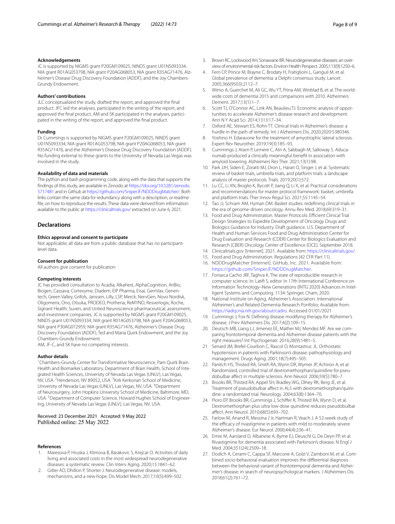#### **Acknowledgements**

JC is supported by NIGMS grant P20GM109025, NINDS grant U01NS093334, NIA grant R01AG053798, NIA grant P20AG068053, NIA grant R35AG71476, Alzheimer's Disease Drug Discovery Foundation (ADDF), and the Joy Chambers-Grundy Endowment.

#### **Authors' contributions**

JLC conceptualized the study, drafted the report, and approved the fnal product. JFC led the analyses, participated in the writing of the report, and approved the fnal product. AM and SK participated in the analyses, participated in the writing of the report, and approved the fnal product.

## **Funding**

Dr Cummings is supported by NIGMS grant P20GM109025, NINDS grant U01NS093334, NIA grant R01AG053798, NIA grant P20AG068053, NIA grant R35AG71476, and the Alzheimer's Disease Drug Discovery Foundation (ADDF). No funding external to these grants to the University of Nevada Las Vegas was involved in the study.

## **Availability of data and materials**

The python and bash programming code, along with the data that supports the fndings of this study, are available in Zenodo at [https://doi.org/10.5281/zenodo.](https://doi.org/10.5281/zenodo.5717481) [5717481](https://doi.org/10.5281/zenodo.5717481) and in Github at [https://github.com/SniperJF/NDDDrugMatcher/.](https://github.com/SniperJF/NDDDrugMatcher/) Both links contain the same data for redundancy along with a description, or readme fle, on how to reproduce the results. These data were derived from information available to the public at <https://clinicaltrials.gov/> extracted on June 6, 2021.

### **Declarations**

## **Ethics approval and consent to participate**

Not applicable; all data are from a public database that has no participantlevel data.

#### **Consent for publication**

All authors give consent for publication

#### **Competing interests**

JC has provided consultation to Acadia, Alkahest, AlphaCognition, AriBio, Biogen, Cassava, Cortexyme, Diadem, EIP Pharma, Eisai, GemVax, Genentech, Green Valley, Grifols, Janssen, Lilly, LSP, Merck, NervGen, Novo Nordisk, Oligomerix, Ono, Otsuka, PRODEO, Prothena, ReMYND, Resverlogix, Roche, Signant Health, Suven, and United Neuroscience pharmaceutical, assessment, and investment companies. JC is supported by NIGMS grant P20GM109025, NINDS grant U01NS093334, NIA grant R01AG053798, NIA grant P20AG068053, NIA grant P30AG072959, NIA grant R35AG71476, Alzheimer's Disease Drug Discovery Foundation (ADDF), Ted and Maria Quirk Endowment, and the Joy Chambers-Grundy Endowment.

AM, JF-C, and SK have no competing interests.

#### **Author details**

<sup>1</sup> Chambers-Grundy Center for Transformative Neuroscience, Pam Quirk Brain Health and Biomarker Laboratory, Department of Brain Health, School of Integrated Health Sciences, University of Nevada Las Vegas (UNLV), Las Vegas, NV, USA. <sup>2</sup> Henderson, NV 89052, USA. <sup>3</sup> Kirk Kerkorian School of Medicine, University of Nevada Las Vegas (UNLV), Las Vegas, NV, USA. <sup>4</sup>Department of Neurosurgery, John Hopkins University School of Medicine, Baltimore, MD, USA.<sup>5</sup> Department of Computer Science, Howard Hughes School of Engineering, University of Nevada Las Vegas (UNLV), Las Vegas, NV, USA.

## Received: 23 December 2021 Accepted: 9 May 2022 Published online: 25 May 2022

#### **References**

- <span id="page-7-0"></span>1. Maresova P, Hruska J, Klimova B, Barakovic S, Krejcar O. Activities of daily living and associated costs in the most widespread neurodegenerative diseases: a systematic review. Clin Interv Aging. 2020;15:1841–62.
- <span id="page-7-1"></span>2. Gitler AD, Dhillon P, Shorter J. Neurodegenerative disease: models, mechanisms, and a new hope. Dis Model Mech. 2017;10(5):499–502.
- <span id="page-7-2"></span>3. Brown RC, Lockwood AH, Sonawane BR. Neurodegenerative diseases: an overview of environmental risk factors. Environ Health Perspect. 2005;113(9):1250–6.
- <span id="page-7-3"></span>4. Ferri CP, Prince M, Brayne C, Brodaty H, Fratiglioni L, Ganguli M, et al. Global prevalence of dementia: a Delphi consensus study. Lancet. 2005;366(9503):2112–7.
- <span id="page-7-4"></span>Wimo A, Guerchet M, Ali GC, Wu YT, Prina AM, Winblad B, et al. The worldwide costs of dementia 2015 and comparisons with 2010. Alzheimers Dement. 2017;13(1):1–7.
- <span id="page-7-5"></span>6. Scott TJ, O'Connor AC, Link AN, Beaulieu TJ. Economic analysis of opportunities to accelerate Alzheimer's disease research and development. Ann N Y Acad Sci. 2014;1313:17–34.
- <span id="page-7-6"></span>7. Oxford AE, Stewart ES, Rohn TT. Clinical trials in Alzheimer's disease: a hurdle in the path of remedy. Int J Alzheimers Dis. 2020;2020:5380346.
- <span id="page-7-7"></span>8. Yoshino H. Edaravone for the treatment of amyotrophic lateral sclerosis. Expert Rev Neurother. 2019;19(3):185–93.
- <span id="page-7-8"></span>9. Cummings J, Aisen P, Lemere C, Atri A, Sabbagh M, Salloway S. Aducanumab produced a clinically meaningful beneft in association with amyloid lowering. Alzheimers Res Ther. 2021;13(1):98.
- <span id="page-7-9"></span>10. Park JJH, Siden E, Zoratti MJ, Dron L, Harari O, Singer J, et al. Systematic review of basket trials, umbrella trials, and platform trials: a landscape analysis of master protocols. Trials. 2019;20(1):572.
- <span id="page-7-10"></span>11. Lu CC, Li XN, Broglio K, Bycott P, Jiang Q, Li X, et al. Practical considerations and recommendations for master protocol framework: basket, umbrella and platform trials. Ther Innov Regul Sci. 2021;55:1145–54.
- <span id="page-7-11"></span>12. Tao JJ, Schram AM, Hyman DM. Basket studies: redefning clinical trials in the era of genome-driven oncology. Annu Rev Med. 2018;69:319–31.
- <span id="page-7-12"></span>13. Food and Drug Administration. Master Protocols: Efficient Clinical Trial Design Strategies to Expedite Development of Oncology Drugs and Biologics Guidance for Industry. Draft guidance. U.S. Department of Health and Human Services Food and Drug Administration Center for Drug Evaluation and Research (CDER) Center for Biologics Evaluation and Research (CBER) Oncology Center of Excellence (OCE). September 2018.
- <span id="page-7-13"></span>14. Clinicaltrials.gov [Internet]. 2021. Available from: <https://clinicaltrials.gov/>.
- <span id="page-7-14"></span>15. Food and Drug Administration. Regulations (42 CFR Part 11).
- <span id="page-7-15"></span>16. NDDDrugMatcher [Internet]. GitHub, Inc. 2021. Available from: [https://github.com/SniperJF/NDDDrugMatcher.](https://github.com/SniperJF/NDDDrugMatcher)
- <span id="page-7-16"></span>17. Fonseca Cacho JRF, Taghva K. The state of reproducible research in computer science. In: Latif S, editor. In 17th International Conference on Information Technology–New Generations (INTG 2020) Advances in Intelligent Systems and Computing. 1134: Springer, Cham; 2020.
- <span id="page-7-17"></span>18. National Institute on Aging, Alzheimer's Association. International Alzheimer's and Related Dementia Research Portfolio; Available from: <https://iadrp.nia.nih.gov/about/cadro>. Accessed 01/01/2021
- <span id="page-7-18"></span>19. Cummings J, Fox N. Defning disease modifying therapy for Alzheimer's disease. J Prev Alzheimers Dis. 2017;4(2):109–15.
- <span id="page-7-19"></span>20. Deutsch MB, Liang LJ, Jimenez EE, Mather MJ, Mendez MF. Are we comparing frontotemporal dementia and Alzheimer disease patients with the right measures? Int Psychogeriatr. 2016;28(9):1481–5.
- <span id="page-7-20"></span>21. Senard JM, Brefel-Courbon C, Rascol O, Montastruc JL. Orthostatic hypotension in patients with Parkinson's disease: pathophysiology and management. Drugs Aging. 2001;18(7):495–505.
- <span id="page-7-21"></span>22. Panitch HS, Thisted RA, Smith RA, Wynn DR, Wymer JP, Achiron A, et al. Randomized, controlled trial of dextromethorphan/quinidine for pseudobulbar afect in multiple sclerosis. Ann Neurol. 2006;59(5):780–7.
- <span id="page-7-22"></span>23. Brooks BR, Thisted RA, Appel SH, Bradley WG, Olney RK, Berg JE, et al. Treatment of pseudobulbar afect in ALS with dextromethorphan/quinidine: a randomized trial. Neurology. 2004;63(8):1364–70.
- <span id="page-7-23"></span>24. Pioro EP, Brooks BR, Cummings J, Schifer R, Thisted RA, Wynn D, et al. Dextromethorphan plus ultra low-dose quinidine reduces pseudobulbar afect. Ann Neurol. 2010;68(5):693–702.
- <span id="page-7-24"></span>25. Farlow M, Anand R, Messina J Jr, Hartman R, Veach J. A 52-week study of the efficacy of rivastigmine in patients with mild to moderately severe Alzheimer's disease. Eur Neurol. 2000;44(4):236–41.
- <span id="page-7-25"></span>26. Emre M, Aarsland D, Albanese A, Byrne EJ, Deuschl G, De Deyn PP, et al. Rivastigmine for dementia associated with Parkinson's disease. N Engl J Med. 2004;351(24):2509–18.
- <span id="page-7-26"></span>27. Dodich A, Cerami C, Cappa SF, Marcone A, Golzi V, Zamboni M, et al. Combined socio-behavioral evaluation improves the diferential diagnosis between the behavioral variant of frontotemporal dementia and Alzheimer's disease: in search of neuropsychological markers. J Alzheimers Dis. 2018;61(2):761–72.